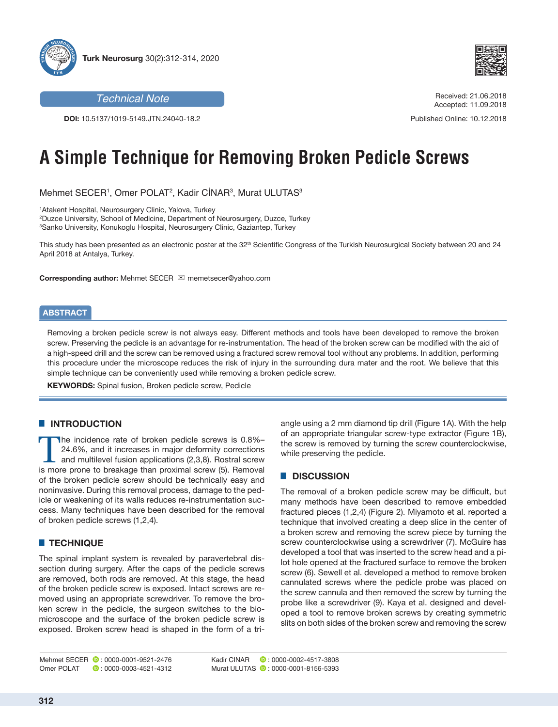



**DOI:** 10.5137/1019-5149.JTN.24040-18.2

#### **Technical Note** Received: 21.06.2018 Accepted: 11.09.2018

Published Online: 10.12.2018

# **A Simple Technique for Removing Broken Pedicle Screws**

Mehmet SECER1, Omer POLAT<sup>2</sup>, Kadir CINAR<sup>3</sup>, Murat ULUTAS<sup>3</sup>

1 Atakent Hospital, Neurosurgery Clinic, Yalova, Turkey 2 Duzce University, School of Medicine, Department of Neurosurgery, Duzce, Turkey 3 Sanko University, Konukoglu Hospital, Neurosurgery Clinic, Gaziantep, Turkey

This study has been presented as an electronic poster at the 32<sup>th</sup> Scientific Congress of the Turkish Neurosurgical Society between 20 and 24 April 2018 at Antalya, Turkey.

**Corresponding author:** Mehmet SECER memetsecer@yahoo.com

### **ABSTRACT**

Removing a broken pedicle screw is not always easy. Different methods and tools have been developed to remove the broken screw. Preserving the pedicle is an advantage for re-instrumentation. The head of the broken screw can be modified with the aid of a high-speed drill and the screw can be removed using a fractured screw removal tool without any problems. In addition, performing this procedure under the microscope reduces the risk of injury in the surrounding dura mater and the root. We believe that this simple technique can be conveniently used while removing a broken pedicle screw.

**KEYWORDS:** Spinal fusion, Broken pedicle screw, Pedicle

# **E INTRODUCTION**

The incidence rate of broken pedicle screws is 0.8%-24.6%, and it increases in major deformity corrections and multilevel fusion applications (2,3,8). Rostral screw is more prone to breakage than proximal screw (5). Removal of the broken pedicle screw should be technically easy and noninvasive. During this removal process, damage to the pedicle or weakening of its walls reduces re-instrumentation success. Many techniques have been described for the removal of broken pedicle screws (1,2,4).

### █ **TECHNIQUE**

The spinal implant system is revealed by paravertebral dissection during surgery. After the caps of the pedicle screws are removed, both rods are removed. At this stage, the head of the broken pedicle screw is exposed. Intact screws are removed using an appropriate screwdriver. To remove the broken screw in the pedicle, the surgeon switches to the biomicroscope and the surface of the broken pedicle screw is exposed. Broken screw head is shaped in the form of a triangle using a 2 mm diamond tip drill (Figure 1A). With the help of an appropriate triangular screw-type extractor (Figure 1B), the screw is removed by turning the screw counterclockwise, while preserving the pedicle.

#### █ **DISCUSSION**

The removal of a broken pedicle screw may be difficult, but many methods have been described to remove embedded fractured pieces (1,2,4) (Figure 2). Miyamoto et al. reported a technique that involved creating a deep slice in the center of a broken screw and removing the screw piece by turning the screw counterclockwise using a screwdriver (7). McGuire has developed a tool that was inserted to the screw head and a pilot hole opened at the fractured surface to remove the broken screw (6). Sewell et al. developed a method to remove broken cannulated screws where the pedicle probe was placed on the screw cannula and then removed the screw by turning the probe like a screwdriver (9). Kaya et al. designed and developed a tool to remove broken screws by creating symmetric slits on both sides of the broken screw and removing the screw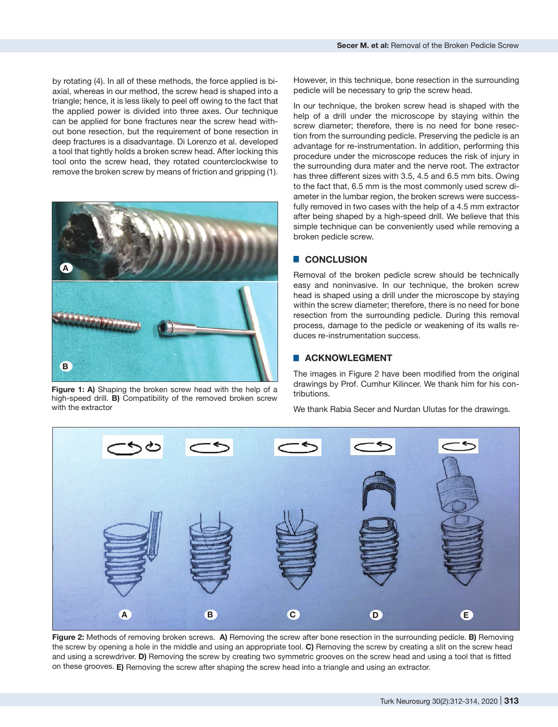by rotating (4). In all of these methods, the force applied is biaxial, whereas in our method, the screw head is shaped into a triangle; hence, it is less likely to peel off owing to the fact that the applied power is divided into three axes. Our technique can be applied for bone fractures near the screw head without bone resection, but the requirement of bone resection in deep fractures is a disadvantage. Di Lorenzo et al. developed a tool that tightly holds a broken screw head. After locking this tool onto the screw head, they rotated counterclockwise to remove the broken screw by means of friction and gripping (1).



**Figure 1: A)** Shaping the broken screw head with the help of a high-speed drill. **B)** Compatibility of the removed broken screw with the extractor

However, in this technique, bone resection in the surrounding pedicle will be necessary to grip the screw head.

In our technique, the broken screw head is shaped with the help of a drill under the microscope by staying within the screw diameter; therefore, there is no need for bone resection from the surrounding pedicle. Preserving the pedicle is an advantage for re-instrumentation. In addition, performing this procedure under the microscope reduces the risk of injury in the surrounding dura mater and the nerve root. The extractor has three different sizes with 3.5, 4.5 and 6.5 mm bits. Owing to the fact that, 6.5 mm is the most commonly used screw diameter in the lumbar region, the broken screws were successfully removed in two cases with the help of a 4.5 mm extractor after being shaped by a high-speed drill. We believe that this simple technique can be conveniently used while removing a broken pedicle screw.

## █ **CONCLUSION**

Removal of the broken pedicle screw should be technically easy and noninvasive. In our technique, the broken screw head is shaped using a drill under the microscope by staying within the screw diameter; therefore, there is no need for bone resection from the surrounding pedicle. During this removal process, damage to the pedicle or weakening of its walls reduces re-instrumentation success.

# **E ACKNOWLEGMENT**

The images in Figure 2 have been modified from the original drawings by Prof. Cumhur Kilincer. We thank him for his contributions.

We thank Rabia Secer and Nurdan Ulutas for the drawings.



**Figure 2:** Methods of removing broken screws. **A)** Removing the screw after bone resection in the surrounding pedicle. **B)** Removing the screw by opening a hole in the middle and using an appropriate tool. **C)** Removing the screw by creating a slit on the screw head and using a screwdriver. **D)** Removing the screw by creating two symmetric grooves on the screw head and using a tool that is fitted on these grooves. **E)** Removing the screw after shaping the screw head into a triangle and using an extractor.